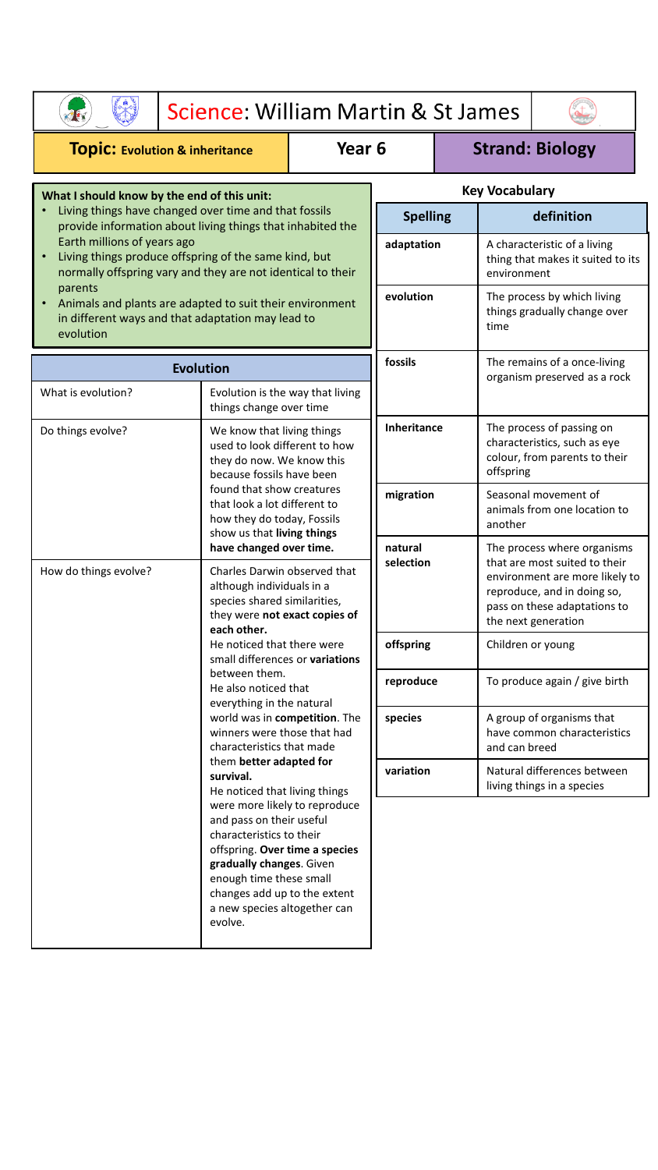|                                                                                                                                                                                                                                                                                                                        |                                                                                                                                                                                                                                                                                                           | Science: William Martin & St James                                                                                    |                        |                                                                 |                                                                                                                                                                                      |                                                                                                         |  |  |
|------------------------------------------------------------------------------------------------------------------------------------------------------------------------------------------------------------------------------------------------------------------------------------------------------------------------|-----------------------------------------------------------------------------------------------------------------------------------------------------------------------------------------------------------------------------------------------------------------------------------------------------------|-----------------------------------------------------------------------------------------------------------------------|------------------------|-----------------------------------------------------------------|--------------------------------------------------------------------------------------------------------------------------------------------------------------------------------------|---------------------------------------------------------------------------------------------------------|--|--|
| Year <sub>6</sub><br><b>TOPIC: Evolution &amp; inheritance</b>                                                                                                                                                                                                                                                         |                                                                                                                                                                                                                                                                                                           |                                                                                                                       | <b>Strand: Biology</b> |                                                                 |                                                                                                                                                                                      |                                                                                                         |  |  |
| What I should know by the end of this unit:                                                                                                                                                                                                                                                                            |                                                                                                                                                                                                                                                                                                           |                                                                                                                       | <b>Key Vocabulary</b>  |                                                                 |                                                                                                                                                                                      |                                                                                                         |  |  |
| Living things have changed over time and that fossils<br>$\bullet$<br>provide information about living things that inhabited the                                                                                                                                                                                       |                                                                                                                                                                                                                                                                                                           |                                                                                                                       | <b>Spelling</b>        |                                                                 | definition                                                                                                                                                                           |                                                                                                         |  |  |
| Earth millions of years ago<br>Living things produce offspring of the same kind, but<br>$\bullet$<br>normally offspring vary and they are not identical to their<br>parents<br>Animals and plants are adapted to suit their environment<br>$\bullet$<br>in different ways and that adaptation may lead to<br>evolution |                                                                                                                                                                                                                                                                                                           |                                                                                                                       | adaptation             |                                                                 | A characteristic of a living<br>thing that makes it suited to its<br>environment                                                                                                     |                                                                                                         |  |  |
|                                                                                                                                                                                                                                                                                                                        |                                                                                                                                                                                                                                                                                                           |                                                                                                                       | evolution              |                                                                 | The process by which living<br>things gradually change over<br>time                                                                                                                  |                                                                                                         |  |  |
| <b>Evolution</b>                                                                                                                                                                                                                                                                                                       |                                                                                                                                                                                                                                                                                                           |                                                                                                                       | fossils                |                                                                 | The remains of a once-living                                                                                                                                                         |                                                                                                         |  |  |
| What is evolution?                                                                                                                                                                                                                                                                                                     | Evolution is the way that living<br>things change over time                                                                                                                                                                                                                                               |                                                                                                                       |                        |                                                                 | organism preserved as a rock                                                                                                                                                         |                                                                                                         |  |  |
| Do things evolve?                                                                                                                                                                                                                                                                                                      |                                                                                                                                                                                                                                                                                                           | We know that living things<br>used to look different to how<br>they do now. We know this<br>because fossils have been |                        | <b>Inheritance</b>                                              |                                                                                                                                                                                      | The process of passing on<br>characteristics, such as eye<br>colour, from parents to their<br>offspring |  |  |
|                                                                                                                                                                                                                                                                                                                        | found that show creatures<br>that look a lot different to<br>how they do today, Fossils<br>show us that living things                                                                                                                                                                                     | migration                                                                                                             |                        | Seasonal movement of<br>animals from one location to<br>another |                                                                                                                                                                                      |                                                                                                         |  |  |
| How do things evolve?<br>each other.                                                                                                                                                                                                                                                                                   | have changed over time.<br>although individuals in a<br>species shared similarities,                                                                                                                                                                                                                      | Charles Darwin observed that<br>they were not exact copies of                                                         | natural<br>selection   |                                                                 | The process where organisms<br>that are most suited to their<br>environment are more likely to<br>reproduce, and in doing so,<br>pass on these adaptations to<br>the next generation |                                                                                                         |  |  |
|                                                                                                                                                                                                                                                                                                                        | He noticed that there were<br>small differences or variations<br>between them.<br>He also noticed that<br>everything in the natural<br>world was in competition. The<br>winners were those that had<br>characteristics that made<br>them better adapted for<br>survival.<br>He noticed that living things |                                                                                                                       | offspring              |                                                                 | Children or young                                                                                                                                                                    |                                                                                                         |  |  |
|                                                                                                                                                                                                                                                                                                                        |                                                                                                                                                                                                                                                                                                           |                                                                                                                       | reproduce              |                                                                 | To produce again / give birth                                                                                                                                                        |                                                                                                         |  |  |
|                                                                                                                                                                                                                                                                                                                        |                                                                                                                                                                                                                                                                                                           |                                                                                                                       | species                |                                                                 | and can breed                                                                                                                                                                        | A group of organisms that<br>have common characteristics                                                |  |  |
|                                                                                                                                                                                                                                                                                                                        |                                                                                                                                                                                                                                                                                                           |                                                                                                                       | variation              |                                                                 |                                                                                                                                                                                      | Natural differences between<br>living things in a species                                               |  |  |
|                                                                                                                                                                                                                                                                                                                        | were more likely to reproduce<br>and pass on their useful<br>characteristics to their<br>offspring. Over time a species<br>gradually changes. Given<br>enough time these small<br>changes add up to the extent<br>a new species altogether can<br>evolve.                                                 |                                                                                                                       |                        |                                                                 |                                                                                                                                                                                      |                                                                                                         |  |  |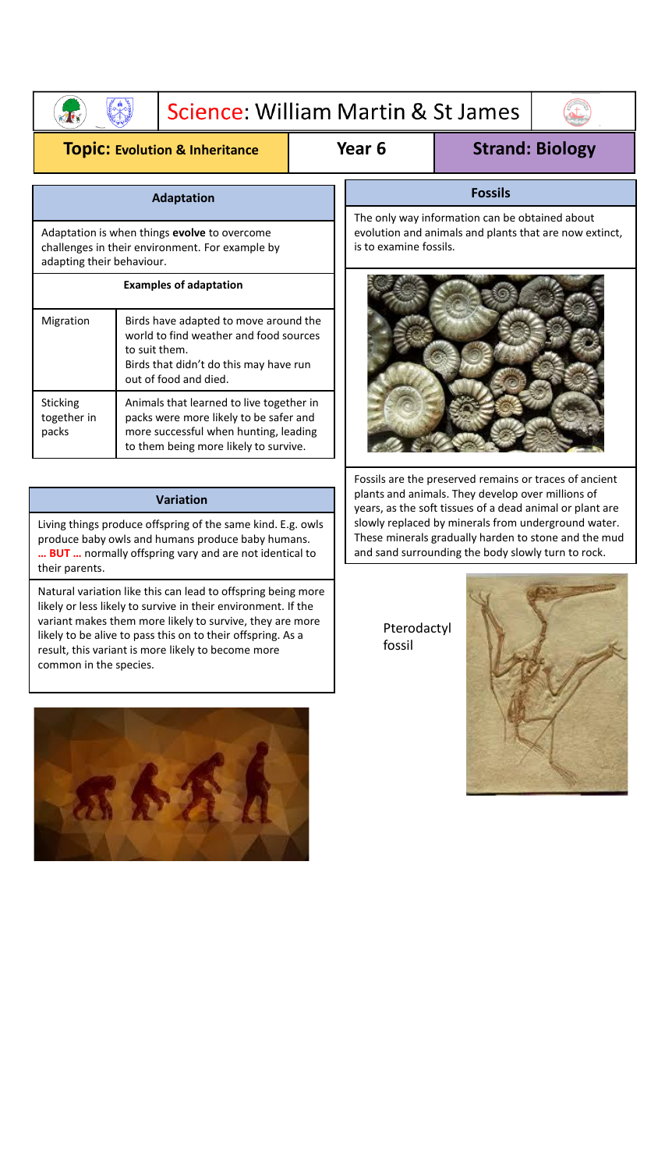| Science: William Martin & St James |  |  |  |
|------------------------------------|--|--|--|
|                                    |  |  |  |

## **Topic: Evolution & Inheritance Year 6 Strand: Biology**

**Afv** 

| <b>Adaptation</b>                |                                                                                                                                                                      |  |  |  |  |
|----------------------------------|----------------------------------------------------------------------------------------------------------------------------------------------------------------------|--|--|--|--|
|                                  | Adaptation is when things <b>evolve</b> to overcome<br>challenges in their environment. For example by<br>adapting their behaviour.                                  |  |  |  |  |
|                                  | <b>Examples of adaptation</b>                                                                                                                                        |  |  |  |  |
| Migration                        | Birds have adapted to move around the<br>world to find weather and food sources<br>to suit them.<br>Birds that didn't do this may have run<br>out of food and died.  |  |  |  |  |
| Sticking<br>together in<br>packs | Animals that learned to live together in<br>packs were more likely to be safer and<br>more successful when hunting, leading<br>to them being more likely to survive. |  |  |  |  |

## **Variation**

Living things produce offspring of the same kind. E.g. owls produce baby owls and humans produce baby humans. **… BUT …** normally offspring vary and are not identical to their parents.

Natural variation like this can lead to offspring being more likely or less likely to survive in their environment. If the variant makes them more likely to survive, they are more likely to be alive to pass this on to their offspring. As a result, this variant is more likely to become more common in the species.



## **Fossils**

The only way information can be obtained about evolution and animals and plants that are now extinct, is to examine fossils.



Fossils are the preserved remains or traces of ancient plants and animals. They develop over millions of years, as the soft tissues of a dead animal or plant are slowly replaced by minerals from underground water. These minerals gradually harden to stone and the mud and sand surrounding the body slowly turn to rock.

> Pterodactyl fossil